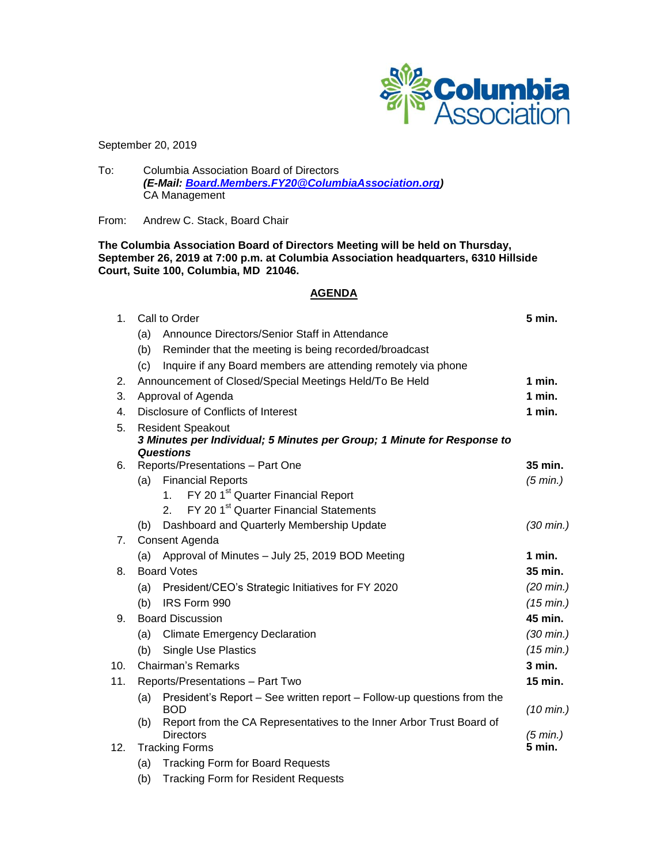

September 20, 2019

To: Columbia Association Board of Directors *(E-Mail: [Board.Members.FY20@ColumbiaAssociation.org\)](mailto:Board.Members.FY20@ColumbiaAssociation.org)* CA Management

From: Andrew C. Stack, Board Chair

**The Columbia Association Board of Directors Meeting will be held on Thursday, September 26, 2019 at 7:00 p.m. at Columbia Association headquarters, 6310 Hillside Court, Suite 100, Columbia, MD 21046.**

# **AGENDA**

| 1.       | Call to Order                                           |                                                                                           | 5 min.              |
|----------|---------------------------------------------------------|-------------------------------------------------------------------------------------------|---------------------|
|          | (a)                                                     | Announce Directors/Senior Staff in Attendance                                             |                     |
|          | (b)                                                     | Reminder that the meeting is being recorded/broadcast                                     |                     |
|          | (c)                                                     | Inquire if any Board members are attending remotely via phone                             |                     |
| 2.       | Announcement of Closed/Special Meetings Held/To Be Held |                                                                                           | 1 min.              |
| 3.       | Approval of Agenda                                      |                                                                                           | $1$ min.            |
| 4.       | Disclosure of Conflicts of Interest                     |                                                                                           | $1$ min.            |
| 5.       | <b>Resident Speakout</b>                                |                                                                                           |                     |
|          |                                                         | 3 Minutes per Individual; 5 Minutes per Group; 1 Minute for Response to                   |                     |
|          | <b>Questions</b>                                        |                                                                                           |                     |
| 6.       |                                                         | Reports/Presentations - Part One                                                          | 35 min.             |
|          |                                                         | (a) Financial Reports<br>FY 20 1 <sup>st</sup> Quarter Financial Report<br>1 <sub>1</sub> | (5 min.)            |
|          |                                                         | FY 20 1 <sup>st</sup> Quarter Financial Statements<br>2.                                  |                     |
|          | (b)                                                     | Dashboard and Quarterly Membership Update                                                 | $(30 \text{ min.})$ |
| 7.       | Consent Agenda                                          |                                                                                           |                     |
|          | Approval of Minutes - July 25, 2019 BOD Meeting<br>(a)  |                                                                                           | 1 min.              |
|          | <b>Board Votes</b>                                      |                                                                                           | 35 min.             |
| 8.<br>9. |                                                         |                                                                                           |                     |
|          | (a)                                                     | President/CEO's Strategic Initiatives for FY 2020                                         | $(20 \text{ min.})$ |
|          | (b)                                                     | IRS Form 990                                                                              | $(15 \text{ min.})$ |
|          | <b>Board Discussion</b>                                 |                                                                                           | 45 min.             |
|          | (a)                                                     | <b>Climate Emergency Declaration</b>                                                      | $(30 \text{ min.})$ |
|          | (b)                                                     | <b>Single Use Plastics</b>                                                                | $(15 \text{ min.})$ |
| 10.      | <b>Chairman's Remarks</b>                               |                                                                                           | $3$ min.            |
| 11.      | Reports/Presentations - Part Two                        |                                                                                           | 15 min.             |
|          | (a)                                                     | President's Report – See written report – Follow-up questions from the                    |                     |
|          | (b)                                                     | BOD<br>Report from the CA Representatives to the Inner Arbor Trust Board of               | $(10 \text{ min.})$ |
|          |                                                         | <b>Directors</b>                                                                          | (5 min.)            |
| 12.      | <b>Tracking Forms</b>                                   |                                                                                           | 5 min.              |
|          | (a)                                                     | <b>Tracking Form for Board Requests</b>                                                   |                     |
|          | (b)                                                     | <b>Tracking Form for Resident Requests</b>                                                |                     |